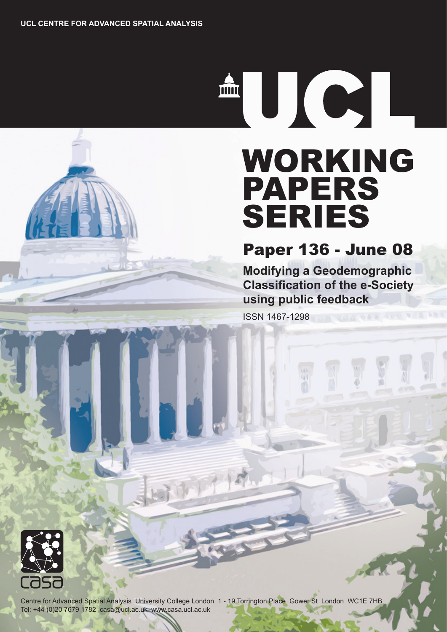THE THE THE TELEVISION OF THE TELEVISION OF THE TELEVISION SERVER.

# WORKING PAPERS SERIES

Paper 136 - June 08

**Modifying a Geodemographic Classification of the e-Society using public feedback**

ISSN 1467-1298



Centre for Advanced Spatial Analysis University College London 1 - 19 Torrington Place Gower St London WC1E 7HB Tel: +44 (0)20 7679 1782 casa@ucl.ac.uk www.casa.ucl.ac.uk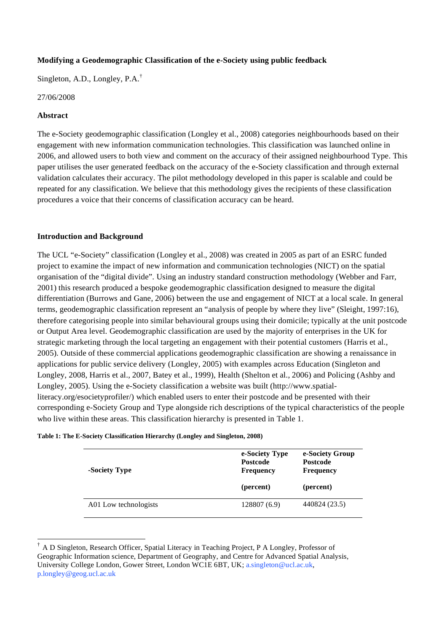## **Modifying a Geodemographic Classification of the e-Society using public feedback**

Singleton, A.D., Longley, P.A.†

#### 27/06/2008

#### **Abstract**

 $\overline{a}$ 

The e-Society geodemographic classification (Longley et al., 2008) categories neighbourhoods based on their engagement with new information communication technologies. This classification was launched online in 2006, and allowed users to both view and comment on the accuracy of their assigned neighbourhood Type. This paper utilises the user generated feedback on the accuracy of the e-Society classification and through external validation calculates their accuracy. The pilot methodology developed in this paper is scalable and could be repeated for any classification. We believe that this methodology gives the recipients of these classification procedures a voice that their concerns of classification accuracy can be heard.

#### **Introduction and Background**

The UCL "e-Society" classification (Longley et al., 2008) was created in 2005 as part of an ESRC funded project to examine the impact of new information and communication technologies (NICT) on the spatial organisation of the "digital divide". Using an industry standard construction methodology (Webber and Farr, 2001) this research produced a bespoke geodemographic classification designed to measure the digital differentiation (Burrows and Gane, 2006) between the use and engagement of NICT at a local scale. In general terms, geodemographic classification represent an "analysis of people by where they live" (Sleight, 1997:16), therefore categorising people into similar behavioural groups using their domicile; typically at the unit postcode or Output Area level. Geodemographic classification are used by the majority of enterprises in the UK for strategic marketing through the local targeting an engagement with their potential customers (Harris et al., 2005). Outside of these commercial applications geodemographic classification are showing a renaissance in applications for public service delivery (Longley, 2005) with examples across Education (Singleton and Longley, 2008, Harris et al., 2007, Batey et al., 1999), Health (Shelton et al., 2006) and Policing (Ashby and Longley, 2005). Using the e-Society classification a website was built (http://www.spatialliteracy.org/esocietyprofiler/) which enabled users to enter their postcode and be presented with their corresponding e-Society Group and Type alongside rich descriptions of the typical characteristics of the people who live within these areas. This classification hierarchy is presented in Table 1.

| -Society Type | e-Society Type<br><b>Postcode</b><br><b>Frequency</b> | e-Society Group<br><b>Postcode</b><br>Frequency |  |  |  |  |
|---------------|-------------------------------------------------------|-------------------------------------------------|--|--|--|--|
|               | (percent)                                             | (percent)                                       |  |  |  |  |
|               |                                                       |                                                 |  |  |  |  |

<sup>†</sup> A D Singleton, Research Officer, Spatial Literacy in Teaching Project, P A Longley, Professor of Geographic Information science, Department of Geography, and Centre for Advanced Spatial Analysis, University College London, Gower Street, London WC1E 6BT, UK; a.singleton@ucl.ac.uk, p.longley@geog.ucl.ac.uk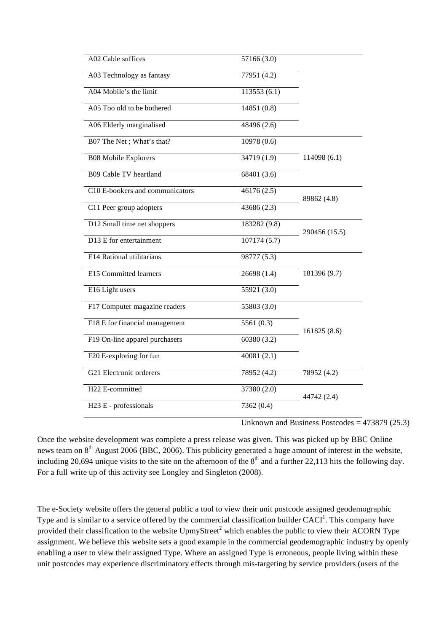| A02 Cable suffices              | 57166 (3.0)  |               |
|---------------------------------|--------------|---------------|
| A03 Technology as fantasy       | 77951 (4.2)  |               |
| A04 Mobile's the limit          | 113553(6.1)  |               |
| A05 Too old to be bothered      | 14851 (0.8)  |               |
| A06 Elderly marginalised        | 48496 (2.6)  |               |
| B07 The Net; What's that?       | 10978 (0.6)  |               |
| <b>B08 Mobile Explorers</b>     | 34719(1.9)   | 114098 (6.1)  |
| <b>B09 Cable TV heartland</b>   | 68401 (3.6)  |               |
| C10 E-bookers and communicators | 46176 (2.5)  | 89862 (4.8)   |
| C11 Peer group adopters         | 43686 (2.3)  |               |
| D12 Small time net shoppers     | 183282 (9.8) | 290456 (15.5) |
| D13 E for entertainment         | 107174 (5.7) |               |
| E14 Rational utilitarians       | 98777 (5.3)  |               |
| E15 Committed learners          | 26698(1.4)   | 181396 (9.7)  |
| E16 Light users                 | 55921 (3.0)  |               |
| F17 Computer magazine readers   | 55803 (3.0)  |               |
| F18 E for financial management  | 5561 $(0.3)$ |               |
| F19 On-line apparel purchasers  | 60380 (3.2)  | 161825 (8.6)  |
| F20 E-exploring for fun         | 40081(2.1)   |               |
| G21 Electronic orderers         | 78952 (4.2)  | 78952 (4.2)   |
| H22 E-committed                 | 37380 (2.0)  |               |
| H23 E - professionals           | 7362 (0.4)   | 44742 (2.4)   |
|                                 |              |               |

Unknown and Business Postcodes =  $473879$  (25.3)

Once the website development was complete a press release was given. This was picked up by BBC Online news team on  $8<sup>th</sup>$  August 2006 (BBC, 2006). This publicity generated a huge amount of interest in the website, including 20,694 unique visits to the site on the afternoon of the  $8<sup>th</sup>$  and a further 22,113 hits the following day. For a full write up of this activity see Longley and Singleton (2008).

The e-Society website offers the general public a tool to view their unit postcode assigned geodemographic Type and is similar to a service offered by the commercial classification builder  $CACI<sup>1</sup>$ . This company have provided their classification to the website  $UpmyStream^2$  which enables the public to view their ACORN Type assignment. We believe this website sets a good example in the commercial geodemographic industry by openly enabling a user to view their assigned Type. Where an assigned Type is erroneous, people living within these unit postcodes may experience discriminatory effects through mis-targeting by service providers (users of the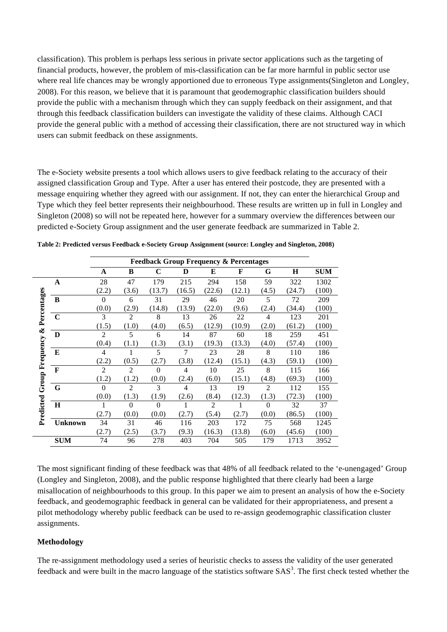classification). This problem is perhaps less serious in private sector applications such as the targeting of financial products, however, the problem of mis-classification can be far more harmful in public sector use where real life chances may be wrongly apportioned due to erroneous Type assignments(Singleton and Longley, 2008). For this reason, we believe that it is paramount that geodemographic classification builders should provide the public with a mechanism through which they can supply feedback on their assignment, and that through this feedback classification builders can investigate the validity of these claims. Although CACI provide the general public with a method of accessing their classification, there are not structured way in which users can submit feedback on these assignments.

The e-Society website presents a tool which allows users to give feedback relating to the accuracy of their assigned classification Group and Type. After a user has entered their postcode, they are presented with a message enquiring whether they agreed with our assignment. If not, they can enter the hierarchical Group and Type which they feel better represents their neighbourhood. These results are written up in full in Longley and Singleton (2008) so will not be repeated here, however for a summary overview the differences between our predicted e-Society Group assignment and the user generate feedback are summarized in Table 2.

|                        |                |                |                |             |        |                | <b>Feedback Group Frequency &amp; Percentages</b> |                |        |            |
|------------------------|----------------|----------------|----------------|-------------|--------|----------------|---------------------------------------------------|----------------|--------|------------|
|                        |                | A              | B              | $\mathbf C$ | D      | E              | F                                                 | G              | H      | <b>SUM</b> |
|                        | A              | 28             | 47             | 179         | 215    | 294            | 158                                               | 59             | 322    | 1302       |
|                        |                | (2.2)          | (3.6)          | (13.7)      | (16.5) | (22.6)         | (12.1)                                            | (4.5)          | (24.7) | (100)      |
| Percentages            | B              | $\Omega$       | 6              | 31          | 29     | 46             | 20                                                | 5              | 72     | 209        |
|                        |                | (0.0)          | (2.9)          | (14.8)      | (13.9) | (22.0)         | (9.6)                                             | (2.4)          | (34.4) | (100)      |
|                        | $\mathbf C$    | $\mathcal{F}$  | $\overline{2}$ | 8           | 13     | 26             | 22                                                | $\overline{4}$ | 123    | 201        |
| ళ                      |                | (1.5)          | (1.0)          | (4.0)       | (6.5)  | (12.9)         | (10.9)                                            | (2.0)          | (61.2) | (100)      |
|                        | D              | $\overline{2}$ | 5              | 6           | 14     | 87             | 60                                                | 18             | 259    | 451        |
|                        |                | (0.4)          | (1.1)          | (1.3)       | (3.1)  | (19.3)         | (13.3)                                            | (4.0)          | (57.4) | (100)      |
| <b>Group Frequency</b> | E              | 4              |                | 5           | 7      | 23             | 28                                                | 8              | 110    | 186        |
|                        |                | (2.2)          | (0.5)          | (2.7)       | (3.8)  | (12.4)         | (15.1)                                            | (4.3)          | (59.1) | (100)      |
|                        | $\mathbf{F}$   | $\overline{c}$ | $\overline{2}$ | $\theta$    | 4      | 10             | 25                                                | 8              | 115    | 166        |
|                        |                | (1.2)          | (1.2)          | (0.0)       | (2.4)  | (6.0)          | (15.1)                                            | (4.8)          | (69.3) | (100)      |
|                        | G              | $\Omega$       | $\overline{2}$ | 3           | 4      | 13             | 19                                                | 2              | 112    | 155        |
|                        |                | (0.0)          | (1.3)          | (1.9)       | (2.6)  | (8.4)          | (12.3)                                            | (1.3)          | (72.3) | (100)      |
| Predicted              | $\mathbf H$    |                | $\Omega$       | $\theta$    |        | $\overline{2}$ |                                                   | $\Omega$       | 32     | 37         |
|                        |                | (2.7)          | (0.0)          | (0.0)       | (2.7)  | (5.4)          | (2.7)                                             | (0.0)          | (86.5) | (100)      |
|                        | <b>Unknown</b> | 34             | 31             | 46          | 116    | 203            | 172                                               | 75             | 568    | 1245       |
|                        |                | (2.7)          | (2.5)          | (3.7)       | (9.3)  | (16.3)         | (13.8)                                            | (6.0)          | (45.6) | (100)      |
|                        | <b>SUM</b>     | 74             | 96             | 278         | 403    | 704            | 505                                               | 179            | 1713   | 3952       |

**Table 2: Predicted versus Feedback e-Society Group Assignment (source: Longley and Singleton, 2008)** 

The most significant finding of these feedback was that 48% of all feedback related to the 'e-unengaged' Group (Longley and Singleton, 2008), and the public response highlighted that there clearly had been a large misallocation of neighbourhoods to this group. In this paper we aim to present an analysis of how the e-Society feedback, and geodemographic feedback in general can be validated for their appropriateness, and present a pilot methodology whereby public feedback can be used to re-assign geodemographic classification cluster assignments.

## **Methodology**

The re-assignment methodology used a series of heuristic checks to assess the validity of the user generated feedback and were built in the macro language of the statistics software  $SAS<sup>3</sup>$ . The first check tested whether the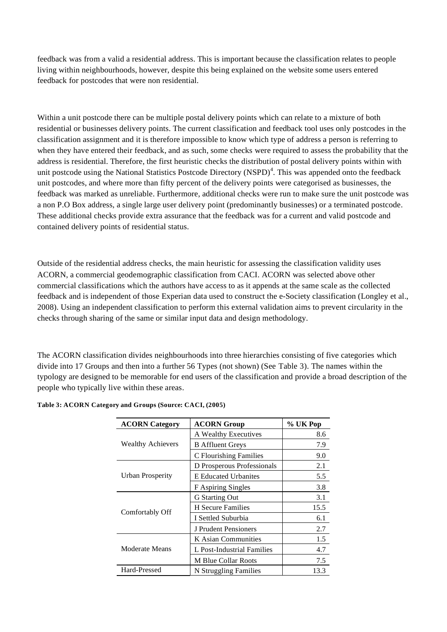feedback was from a valid a residential address. This is important because the classification relates to people living within neighbourhoods, however, despite this being explained on the website some users entered feedback for postcodes that were non residential.

Within a unit postcode there can be multiple postal delivery points which can relate to a mixture of both residential or businesses delivery points. The current classification and feedback tool uses only postcodes in the classification assignment and it is therefore impossible to know which type of address a person is referring to when they have entered their feedback, and as such, some checks were required to assess the probability that the address is residential. Therefore, the first heuristic checks the distribution of postal delivery points within with unit postcode using the National Statistics Postcode Directory (NSPD) $<sup>4</sup>$ . This was appended onto the feedback</sup> unit postcodes, and where more than fifty percent of the delivery points were categorised as businesses, the feedback was marked as unreliable. Furthermore, additional checks were run to make sure the unit postcode was a non P.O Box address, a single large user delivery point (predominantly businesses) or a terminated postcode. These additional checks provide extra assurance that the feedback was for a current and valid postcode and contained delivery points of residential status.

Outside of the residential address checks, the main heuristic for assessing the classification validity uses ACORN, a commercial geodemographic classification from CACI. ACORN was selected above other commercial classifications which the authors have access to as it appends at the same scale as the collected feedback and is independent of those Experian data used to construct the e-Society classification (Longley et al., 2008). Using an independent classification to perform this external validation aims to prevent circularity in the checks through sharing of the same or similar input data and design methodology.

The ACORN classification divides neighbourhoods into three hierarchies consisting of five categories which divide into 17 Groups and then into a further 56 Types (not shown) (See Table 3). The names within the typology are designed to be memorable for end users of the classification and provide a broad description of the people who typically live within these areas.

| <b>ACORN Category</b>    | <b>ACORN Group</b>          | % UK Pop |
|--------------------------|-----------------------------|----------|
|                          | A Wealthy Executives        | 8.6      |
| <b>Wealthy Achievers</b> | <b>B</b> Affluent Greys     | 7.9      |
|                          | C Flourishing Families      | 9.0      |
|                          | D Prosperous Professionals  | 2.1      |
| <b>Urban Prosperity</b>  | <b>E</b> Educated Urbanites | 5.5      |
|                          | F Aspiring Singles          | 3.8      |
|                          | G Starting Out              | 3.1      |
|                          | <b>H</b> Secure Families    | 15.5     |
| Comfortably Off          | I Settled Suburbia          | 6.1      |
|                          | J Prudent Pensioners        | 2.7      |
|                          | K Asian Communities         | 1.5      |
| Moderate Means           | L Post-Industrial Families  | 4.7      |
|                          | <b>M Blue Collar Roots</b>  | 7.5      |
| Hard-Pressed             | N Struggling Families       | 13.3     |

#### **Table 3: ACORN Category and Groups (Source: CACI, (2005)**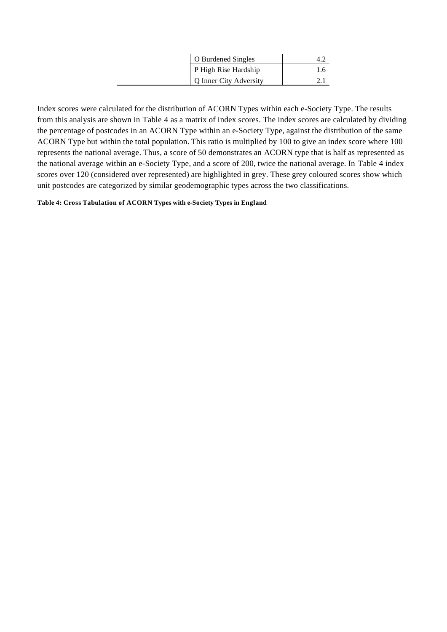| O Burdened Singles            |  |
|-------------------------------|--|
| P High Rise Hardship          |  |
| <b>Q</b> Inner City Adversity |  |

Index scores were calculated for the distribution of ACORN Types within each e-Society Type. The results from this analysis are shown in Table 4 as a matrix of index scores. The index scores are calculated by dividing the percentage of postcodes in an ACORN Type within an e-Society Type, against the distribution of the same ACORN Type but within the total population. This ratio is multiplied by 100 to give an index score where 100 represents the national average. Thus, a score of 50 demonstrates an ACORN type that is half as represented as the national average within an e-Society Type, and a score of 200, twice the national average. In Table 4 index scores over 120 (considered over represented) are highlighted in grey. These grey coloured scores show which unit postcodes are categorized by similar geodemographic types across the two classifications.

#### **Table 4: Cross Tabulation of ACORN Types with e-Society Types in England**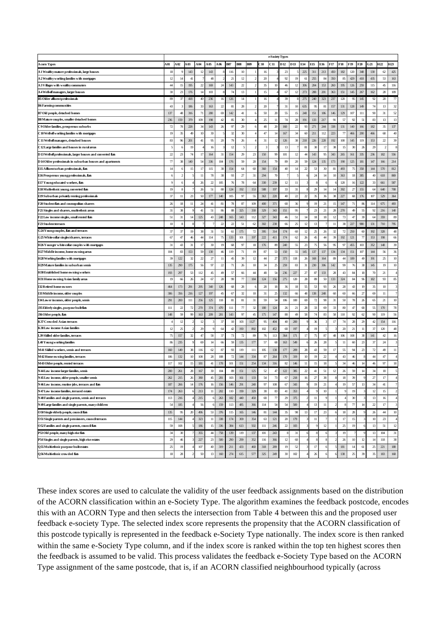|                                                               |                   |                    |                |          |                            |                 |               |               |            |                         | e-Society Types |        |                 |                |               |               |     |                     |          |                   |                |                 |                 |
|---------------------------------------------------------------|-------------------|--------------------|----------------|----------|----------------------------|-----------------|---------------|---------------|------------|-------------------------|-----------------|--------|-----------------|----------------|---------------|---------------|-----|---------------------|----------|-------------------|----------------|-----------------|-----------------|
| A corn Types                                                  | 401               | A02                | 403            | A04      | A05                        | A06             | <b>B07</b>    | <b>B08</b>    | <b>B09</b> | C 10                    | C11             | D 12   | D <sub>13</sub> | E14            | E15           | E16           | F17 | F18                 | F19      | F20               | G21            | H <sub>22</sub> | H <sub>23</sub> |
| A 1 Wealthy mature professionals, large houses                | 18                | -9                 | 143            | 12       | 143                        |                 | 116           | $10$          |            | 16                      |                 | 23     |                 | 225            | 311           | 213           | 450 | 182                 | $120$    | 348               | 130            | $62\,$          | 425             |
| A 2 Wealthy working families with mortgages                   | 12                | 14                 | 41             |          | 48                         |                 | 21            | 12            |            | 20                      |                 | 92     | 19              | 61             | 255           | 84            | 350 | 85                  | 429      | 418               | 435            | 53              | 163             |
| A 3 Villages with wealthy commuters                           | 44                | 15                 | 195            | $22\,$   | 169                        | 24              | 143           | 22            |            | 35                      | 10              | 46     | 12              | 306            | 204           | 153           | 260 | 195                 | 126      | 259               | 115            | 45              | 116             |
| A 4 Well-off managers, larger houses                          | $30\,$            | 23                 | 176            | 14       | 103                        |                 | 74            | 13            |            | 15                      |                 | 67     | 12              | 273            | 288           | 201           | 363 | 151                 | 145      | 267               | 162            | 28              | 109             |
| <b>B5 Older affluent professionals</b>                        | 89                | 37                 | 418            | 40       | 236                        | 16              | 126           | 14            |            | 16                      |                 | 39     |                 | 275            | 240           | 323           | 237 | 120                 | 95       | 145               | 92             | 20              | $77\,$          |
| <b>B6 Farming communities</b>                                 | 43                |                    | 186            | 33       | 163                        | $\mathfrak{D}$  | 81            | 28            |            | 20                      |                 | 31     | 10              | 635            | 95            | 81            | 157 | 131                 | 128      | 149               | 74             | 13              | 32              |
| <b>B7 Old people, detached homes</b>                          | 137               | 48                 | 316            | $71$     | 280                        | $\theta$        | 142           | $4\mathrm{l}$ |            | 50                      | $\alpha$        | 55     | 15              | 248            | 151           | 186           | 146 | 129                 | 107      | $111$             | $\alpha$       | 31              | 52              |
| B8 Mature couples, smaller detached homes                     | 236               | 159                | 379            | 109      | 198                        | 42              | 85            | 30            |            | 25                      | $_{11}$         | 74     | 28              | 191            | 133           | 217           | 91  | 57                  | 92       | 51                | 83             | 13              | 13              |
| C9 Older families, prosperous suburbs                         | $72\,$            | 78                 | 228            | 34       | 143                        | 26              | 97            | 29            |            | 48                      | 20              | 160    | $\mathfrak{D}$  | 93             | 271           | 244           | 338 | 131                 | 140      | 166               | 182            | 35              | $137\,$         |
| C 10 Well-off working families with mortgages                 | 19                | 35                 | 49             | 10       | 30                         |                 | 32            | $30\,$        |            | 47                      | 14              | 167    | 34              | 60             | 211           | 112           | 223 | $\pi$               | 466      | 200               | 466            | 68              | 40              |
| C11 Well-offmanagers, detached houses                         | 83                | 96                 | 201            | 41       | 95                         | 20              | 79            | $26\,$        |            | 31                      | 12              | 126    | 38              | 218            | 226           | 228           | 192 | 100                 | 145      | 119               | 153            | 22              | 39              |
| C 12 Large families and houses in rural areas                 | S                 |                    | 19             |          | 16                         |                 | 12            | 5             |            | $\overline{\mathbf{3}}$ |                 | 13     |                 | 81             | 30            | 17            | 38  | 15                  | 30       | 26                | 29             | $\overline{2}$  |                 |
| D13 Well-off professionals, larger houses and converted flats | $\mathfrak{v}$    | 23                 | 74             | 17       | 164                        | 31              | 154           | 29            | 23         | 150                     | 99              | 101    | 12              | 44             | 143           | 95            | 343 | 265                 | 161      | 335               | 236            | 182             | 556             |
| D14 Older professionals in suburban houses and apartments     | $\overline{\eta}$ | 38                 | 140            | 54       | 336                        | 104             | 176           | 59            | 20         | 154                     | 79              | 89     | 20              | 59             | 124           | 135           | 173 | 190                 | 125      | 181               | 147            | 166             | 214             |
| E15 A ffluent urban professionals, flats                      | 14                | 6                  | 15             | 17       | 115                        | $\mathcal{R}$   | 154           | 64            | 60         | 360                     | 154             | 40     | 14              | $\mathfrak{D}$ | 53            | $\mathcal{X}$ | 81  | 493                 | 75       | 358               | 144            | 570             | 812             |
| E16 Prosperous young professionals, flats                     | 6                 | $\overline{2}$     | 5              | $_{11}$  | 78                         | 38              | -93           | $27\,$        | 31         | 294                     | 70              |        |                 |                | 24            | 14            | 10  | 363                 | 18       | 385               | 40             | 618             | 869             |
| E17Youngeducated workers, flats                               | 9                 | 6                  | $\overline{4}$ | 26       | $\boldsymbol{\mathcal{D}}$ | 105             | 76            | 78            | 64         | 330                     | 239             | $12\,$ | $_{11}$         |                |               |               | б   | 120                 | 16       | 122               | 33             | 661             | 587             |
| E18 Multi-cthnic young, converted flat                        | 19                | 8                  |                | 26       | 51                         | 88              | 124           | 192           | 153        | 588                     | 197             | 33     | 31              |                | 29            | 14            | 14  | 392                 | $27\,$   | 155               | 64             | 640             | 708             |
| E19 Suburban privately renting professionals                  | 37                | $_{11}$            | $23\,$         | 50       | $177\,$                    | 140             | 105           | 97            | 55         | 363                     | 220             | 40     | 22              | $\mathfrak{D}$ | 35            | $\mathcal{R}$ | 38  | 227                 | 68       | 176               | 107            | 529             | 364             |
| F20 Student flats and cosmopolitan sharers                    | $\chi$            | 18                 | $11\,$         | 24       | 41                         | 81              | 78            | 87            | 109        | 400                     | 371             | 68     | -36             |                | 19            | 21            | 15  | 147                 | 71       | 86                | 114            | 675             | 493             |
| F21 Singles and sharers, multi-ethnic areas                   | 31                | 38                 |                | 41       | 51                         | 86              | 88            | 325           | 330        | 329                     | 343             | 151    | 95              |                | 23            | 21            | 28  | 270                 | 49       | 55                | 92             | 216             | $140$           |
| F22 Low income singles, small rented flats                    | 51                | 31                 | 14             | 125      | 43                         | 248             | 165           | 143           | 112        | 327                     | 343             | 46     | 51              | 14             | 18            | 18            | 12  | 73                  | 47       | 39                | 64             | 359             | 89              |
| F23Student terraces                                           | 10                | $\mathbf{\hat{x}}$ |                |          |                            | $\mathcal{L}$   | $\mathcal{D}$ | 51            | 62         | 302                     | 238             | 66     | 25              | 12             | 13            |               | 11  | $\mathbf{\bar{38}}$ | 227      | 980               | 131            | 710             | 795             |
| G24 Young couples, flats and terraces                         | 37                | 37                 | 19             | 38       | 31                         | 51              | 61            | 175           | 72         | 395                     | 314             | 174    | $\epsilon$      | 12             | 25            | 26            | 32  | 72                  | 250      | $\epsilon$        | 192            | 328             | 48              |
| G25 White-collar singles/sharers, terraces                    | 67                | 47                 | 46             | 44       | 114                        | 75              | 133           | 101           | 197        | $222\,$                 | 411             | 174    | 62              | 26             | 45            | 44            | 39  | 192                 | 121      | $\overline{\eta}$ | 153            | 198             | 66              |
| H26 Younger white-collar couples with mortgages               | 31                | 43                 | 31             | 17       | 30                         | 19              | 68            | 97            | 18         | 176                     | 89              | 240    | 55              | 23             | 75            | 56            | 95  | 97                  | 455      | 103               | 352            | 148             | 39              |
| H27 Middle income, home owning areas                          | 104               | 83                 | 153            | 59       | 130                        | 46              | 119           | 71            | 19         | 87                      | 53              | 150    | 55              | 145            | 137           | 137           | 134 | 134                 | 151      | 107               | 144            | 56              | 36              |
| H28 Working families with mortgages                           | 39                | 122                | 32             | 22       | 27                         | $_{11}$         | 45            | 39            | 12         | $44\,$                  | $27\,$          | 373    | 118             | 26             | 168           | 164           | 89  | 44                  | 189      | 49                | 191            | 25              | $10\,$          |
| H29 Mature families in suburban semis                         | 135               | 290                | 175            | 56       | 97                         | $\overline{22}$ | 71            | 26            | $10$       | 34                      | 25              | 259    | 83              | 31             | 230           | 306           | 142 | 99                  | 76       | 38                | 145            | 19              | $10\,$          |
| H30 Established home owning workers                           | 193               | 297                | 53             | 112      | 45                         | 49              | 57            | 66            | 44         | 48                      | 54              | 236    | 227             | 27             | 87            | 133           | 28  | 43                  | 84       | 18                | $\pi$          | 21              |                 |
| H31 Home owning A sian family areas                           | 19                | 66                 | 26             | 24       | 67                         | $\mathbf{28}$   | 99            | $\tau\tau$    | 184        | 124                     | 156             | 275    | 120             | 28             | 89            | 50            | 133 | 324                 | 84       | 96                | 182            | 93              | 85              |
| I32 Refired home owners                                       | 464               | 173                | 291            | 295      | 340                        | 126             | 68            | 28            |            | 28                      | 18              | 36     | 18              | 55             | 53            | 93            | 26  | 28                  | 43       | 19                | 35             | 10              |                 |
| I33 Middle income, older couples                              | 306               | 356                | 216            | 127      | 197                        | 45              | 67            | 32            | 10         | 31                      | 25              | 132    | 66              | 48             | 138           | 248           | 60  | 60                  | 66       | 27                | $\sigma$       | $_{11}$         |                 |
| I34 Lower incomes, older people, semis                        | 291               | 200                | 111            | 256      | 125                        | 118             | 81            | $81\,$        | 31         | 59                      | 54              | 106    | 100             | 69             | 72            | 98            | 31  | 50                  | 78       | 26                | 65             | 21              | ${\bf l0}$      |
| J35 Elderly singles, purpose built flats                      | 111               | $\mathfrak{D}$     | $72\,$         | 270      | 374                        | 470             | 111           | $\tau\tau$    | 32         | 180                     | 124             | 26     | 21              | 28             | 33            | $\sigma$      | 33  | 80                  | 47       | 68                | 55             | 170             | $78\,$          |
| J36 Older people, flats                                       | 148               | 59                 | 99             | 163      | 209                        | $201$           | 143           | 97            | 45         | 175                     | 147             | 88     | 49              | 58             | 74            | 83            | 58  | 110                 | 92       | 62                | X              | 119             | 56              |
| K37 Crowded Asian terraces                                    | $\overline{4}$    | 12                 | $\mathcal{D}$  | 12       |                            | 37              | 10            | 103           | 1127       | 95                      | 404             | 40     | 200             | q              | 36            |               | 17  | 74                  | 28       | 29                | 42             | 154             | 116             |
| <b>K38 Low income A sian families</b>                         | 12                | 25                 |                | 29       |                            | 64              | 42            | 190           | 892        | 102                     | 452             | 68     | 197             |                | 19            |               |     | $20\,$              | 21       | 11                | 37             | 120             | 48              |
| L39 Skilled older families, terraces                          | 75                | 157                | 32             | $47\,$   | 58                         | 37              | 73            | $72\,$        | 89         | 76                      | 113             | 364    | 171             | 17             | 75            | 87            | 48  | 106                 | 108      | 38                | 141            | $42\,$          | 16              |
| L40 Young working families                                    | 86                | 235                | $\mathbf Q$    | $\theta$ | 14                         | 66              | 59            | 135           | 177        | 57                      | 68              | 163    | 549             |                | 26            | 28            | S   | 11                  | 60       | 23                | 37             | 24              |                 |
| M 41 Skilled workers, semis and terraces                      | 160               | 149                | 38             | 116      | 62                         | 87              | 93            | 119           | 111        | 105                     | 138             | 177    | 209             | 28             | 43            | 59            | 17  | 55                  | 94       | 23                | 72             | 49              | $11\,$          |
| M42 Home owning families, terraces                            | 106               | 132                | $10\,$         | 108      | $_{\rm 28}$                | 108             | 72            | 144           | 334        | 87                      | 264             | 170    | 319             | 10             | 19            | $\mathcal{D}$ |     | 43                  | 46       |                   | 44             | 47              |                 |
| M43 Older people, rented terraces                             | 117               | 102                | 15             | 181      | 41                         | 178             | 101           | 151           | 254        | 134                     | 316             | 82     | 146             | $_{11}$        | 15            | 18            |     | 34                  | 46       | 14                | 46             | 97              | $18\,$          |
| N44 Low income larger families, semis                         | 200               | 261                | $28\,$         | 167      | 30                         | 104             | 89            | 151           | 125        | 52                      | 47              | 122    | 385             | 22             | $4\mathrm{l}$ | 51            | 12  | $\bf 26$            | 59       | 14                | 34             | $18\,$          |                 |
| N45 Low income, older people, smaller semis                   | 262               | 215                | 26             | 380      | 45                         | 201             | 103           | 161           | 133        | 54                      | 73              | 67     | 218             | 16             | 27            | 38            |     | 18                  | 39       |                   | 27             | 17              |                 |
| N46 Low income, routine jobs, terraces and flats              | 187               | 266                | 14             | 176      | 16                         | 156             | 146           | 291           | 240        | 97                      | 108             | 67     | 343             |                | 19            | 21            |     | 19                  | 57       | 13                | 34             | 41              |                 |
| v 47 Low income families, terraced estates                    | 174               | 263                |                | -213     | п                          | -202            | 110           | 199           | 329        | 38                      | 83              | 41     | 353             |                |               |               |     |                     |          |                   | ю              | Ð               |                 |
| N48 Families and single parents, semis and terraces           | 113               | $216$              |                | 215      |                            | 263             | 182           | 440           | 450        | $68\,$                  | 77              | 29     | 375             |                | $11\,$        |               |     |                     | 30       |                   | 13             | 16              |                 |
| N 49 Large families and single parents, many children         | 54                | 185                |                | 56       | 61                         | 159             | 113           | 485           | 366        | 114                     | 54              | 54     | 500             |                | 13            | $11\,$        | 2   | 8                   | $77\,$   | 14                | $\mathfrak{D}$ | 17              |                 |
| O 50 Single elderly people, council flats                     | 135               | 95                 | $20\,$         | 496      | 53                         | 376             | 115           | 165           | 146        | $81\,$                  | $144$           | 35     | 98              | 13             | 17            | $23\,$        |     | $18\,$              | $\rm 28$ |                   | $\frac{26}{3}$ | $44\,$          | $10$            |
| O51 Single parents and pensioners, council terraces           | 115               | 144                |                | 323      | $11\,$                     | 338             | 174           | 309           | 354        | 63                      | 121             | $20\,$ | 179             |                | $11\,$        |               |     | 17                  | 15       |                   | 10             | 23              |                 |
| O52 Families and single parents, council flats                | 59                | $108$              |                | 186      | $15\,$                     | 336             | 384           | 613           | 502        | $111$                   | 246             | $22\,$ | 183             |                |               | 12            |     | $25\,$              | 19       |                   | 13             | 51              | 12              |
| P53 Old people, many high-rise flats                          | 34                | 30                 |                | 355      | $44$                       | 758             | 139           | 119           | 137        | 101                     | 243             |        | 31              |                |               |               |     | 19                  |          |                   | 13             | 104             | $31\,$          |
| P54 Singles and single parents, high-rise estates             | 29                | 46                 |                | 227      | $\mathfrak{B}$             | 500             | $290\,$       | 299           | 352        | 116                     | 366             | $12\,$ | $\omega$        |                |               |               |     | 26                  | $10$     | 12                | 14             | 118             | 38              |
| Q55 Multi-ethnic purpose built estates                        | $\mathfrak{B}$    | 19                 |                | 107      | 40                         | 319             | 211           | 433           | 460        | 318                     | 289             | 19     | 52              |                | 17            |               |     | $181\,$             | 14       | 61                | 25             | 221             | $188\,$         |
| Q56 Multi-ethnic crowded flats                                | 18                | ${\bf 28}$         |                | 50       | 13                         | $160\,$         | 274           | 615           | 577        | 325                     | 249             | 30     | $102\,$         |                | 26            |               |     | 138                 | $25\,$   | 39                | 35             | 183             | $168\,$         |

These index scores are used to calculate the validity of the user feedback assignments based on the distribution of the ACORN classification within an e-Society Type. The algorithm examines the feedback postcode, encodes this with an ACORN Type and then selects the intersection from Table 4 between this and the proposed user feedback e-society Type. The selected index score represents the propensity that the ACORN classification of this postcode typically is represented in the feedback e-Society Type nationally. The index score is then ranked within the same e-Society Type column, and if the index score is ranked within the top ten highest scores then the feedback is assumed to be valid. This process validates the feedback e-Society Type based on the ACORN Type assignment of the same postcode, that is, if an ACORN classified neighbourhood typically (across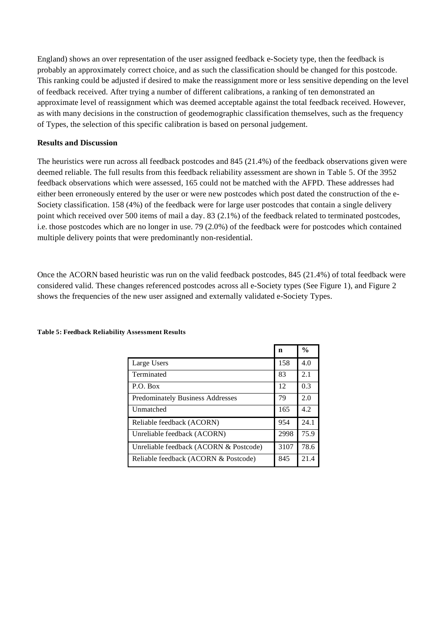England) shows an over representation of the user assigned feedback e-Society type, then the feedback is probably an approximately correct choice, and as such the classification should be changed for this postcode. This ranking could be adjusted if desired to make the reassignment more or less sensitive depending on the level of feedback received. After trying a number of different calibrations, a ranking of ten demonstrated an approximate level of reassignment which was deemed acceptable against the total feedback received. However, as with many decisions in the construction of geodemographic classification themselves, such as the frequency of Types, the selection of this specific calibration is based on personal judgement.

#### **Results and Discussion**

The heuristics were run across all feedback postcodes and 845 (21.4%) of the feedback observations given were deemed reliable. The full results from this feedback reliability assessment are shown in Table 5. Of the 3952 feedback observations which were assessed, 165 could not be matched with the AFPD. These addresses had either been erroneously entered by the user or were new postcodes which post dated the construction of the e-Society classification. 158 (4%) of the feedback were for large user postcodes that contain a single delivery point which received over 500 items of mail a day. 83 (2.1%) of the feedback related to terminated postcodes, i.e. those postcodes which are no longer in use. 79 (2.0%) of the feedback were for postcodes which contained multiple delivery points that were predominantly non-residential.

Once the ACORN based heuristic was run on the valid feedback postcodes, 845 (21.4%) of total feedback were considered valid. These changes referenced postcodes across all e-Society types (See Figure 1), and Figure 2 shows the frequencies of the new user assigned and externally validated e-Society Types.

|                                         | n    | $\frac{0}{0}$ |
|-----------------------------------------|------|---------------|
| Large Users                             | 158  | 4.0           |
| Terminated                              | 83   | 2.1           |
| P.O. Box                                | 12   | 0.3           |
| <b>Predominately Business Addresses</b> | 79   | 2.0           |
| Unmatched                               | 165  | 4.2           |
| Reliable feedback (ACORN)               | 954  | 24.1          |
| Unreliable feedback (ACORN)             | 2998 | 75.9          |
| Unreliable feedback (ACORN & Postcode)  | 3107 | 78.6          |
| Reliable feedback (ACORN & Postcode)    | 845  | 21.4          |

#### **Table 5: Feedback Reliability Assessment Results**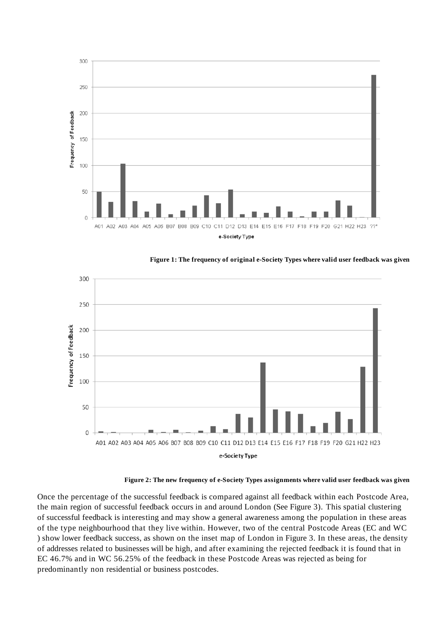



**Figure 1: The frequency of original e-Society Types where valid user feedback was given** 

**Figure 2: The new frequency of e-Society Types assignments where valid user feedback was given** 

Once the percentage of the successful feedback is compared against all feedback within each Postcode Area, the main region of successful feedback occurs in and around London (See Figure 3). This spatial clustering of successful feedback is interesting and may show a general awareness among the population in these areas of the type neighbourhood that they live within. However, two of the central Postcode Areas (EC and WC ) show lower feedback success, as shown on the inset map of London in Figure 3. In these areas, the density of addresses related to businesses will be high, and after examining the rejected feedback it is found that in EC 46.7% and in WC 56.25% of the feedback in these Postcode Areas was rejected as being for predominantly non residential or business postcodes.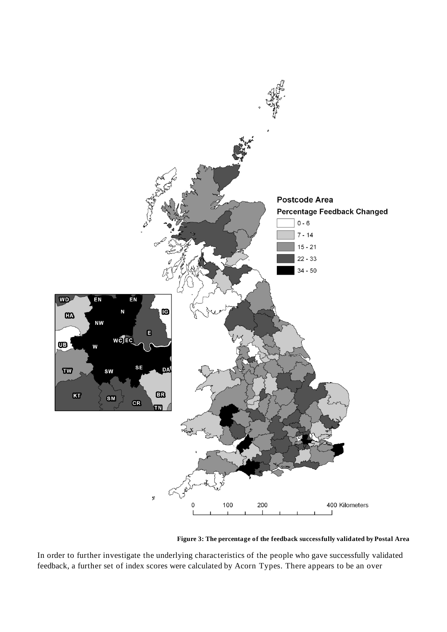

**Figure 3: The percentage of the feedback successfully validated by Postal Area** 

In order to further investigate the underlying characteristics of the people who gave successfully validated feedback, a further set of index scores were calculated by Acorn Types. There appears to be an over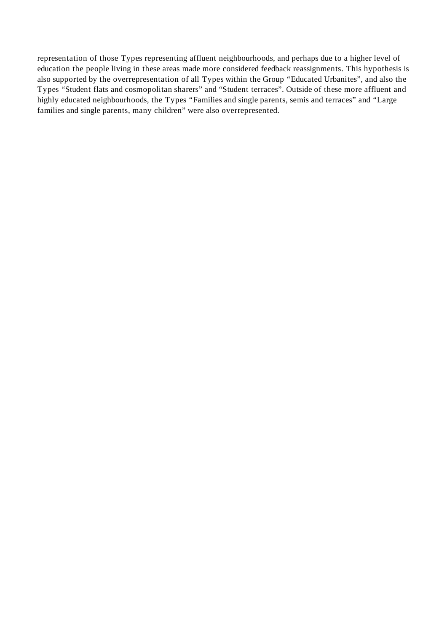representation of those Types representing affluent neighbourhoods, and perhaps due to a higher level of education the people living in these areas made more considered feedback reassignments. This hypothesis is also supported by the overrepresentation of all Types within the Group "Educated Urbanites", and also the Types "Student flats and cosmopolitan sharers" and "Student terraces". Outside of these more affluent and highly educated neighbourhoods, the Types "Families and single parents, semis and terraces" and "Large families and single parents, many children" were also overrepresented.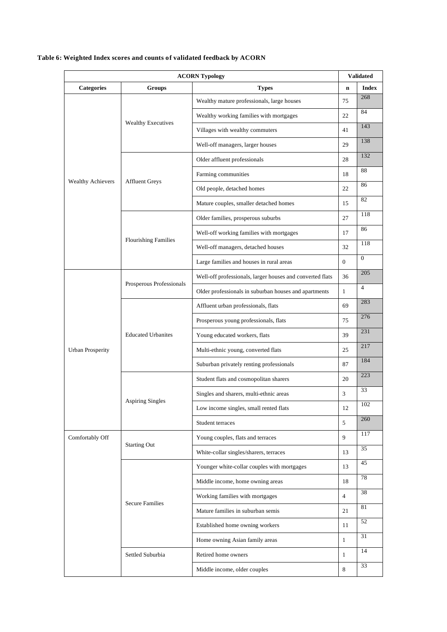# **ACORN Typology Validated Validated** Categories **Groups Figure 1 C** is the contract of the contract of the contract of the contract of the contract of the contract of the contract of the contract of the contract of the contract of the contract of the contra Wealthy mature professionals, large houses 75 268 Wealthy working families with mortgages 22 84 Wealthy Executives<br>
Villages with wealthy commuters 41 143 Well-off managers, larger houses 29 138 Older affluent professionals 28 28 132 Farming communities 18 88 Affluent Greys 22 86 Mature couples, smaller detached homes 15 82 Older families, prosperous suburbs 27 118 Well-off working families with mortgages 17 86 Well-off managers, detached houses 32 118 Wealthy Achievers Flourishing Families Large families and houses in rural areas  $\begin{bmatrix} 0 \\ 0 \end{bmatrix}$ Well-off professionals, larger houses and converted flats 36 205 Prosperous Professionals Older professionals in suburban houses and apartments  $\begin{bmatrix} 1 \\ 4 \end{bmatrix}$ Affluent urban professionals, flats 69 283 Prosperous young professionals, flats 75 276 Young educated workers, flats 39 31 Multi-ethnic young, converted flats 25 217 Educated Urbanites Suburban privately renting professionals 87 184 Student flats and cosmopolitan sharers 20 223 Singles and sharers, multi-ethnic areas 3 33 Low income singles, small rented flats  $12 \overline{102}$ Urban Prosperity Aspiring Singles Student terraces  $\frac{1}{5}$   $\frac{260}{260}$ Young couples, flats and terraces 9 117 Starting Out White-collar singles/sharers, terraces 13 35 Younger white-collar couples with mortgages 13 45 Middle income, home owning areas 18 78 Working families with mortgages 4 38 Mature families in suburban semis 21 81 Established home owning workers 11 52 Secure Families Home owning Asian family areas  $1$   $31$ Retired home owners 1 <sup>14</sup> Comfortably Off Settled Suburbia Middle income, older couples 8 33

#### **Table 6: Weighted Index scores and counts of validated feedback by ACORN**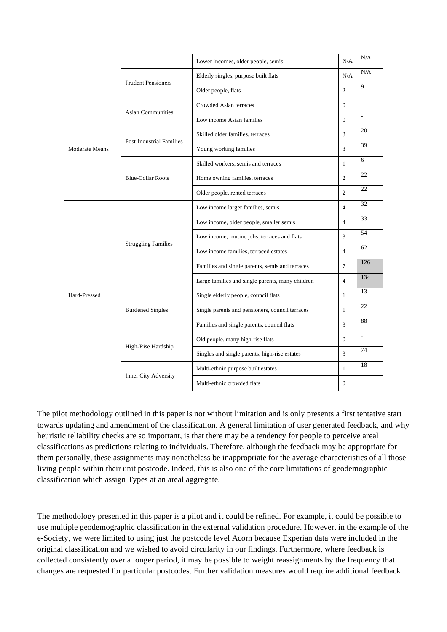|                |                                 | Lower incomes, older people, semis               | N/A            | N/A                      |
|----------------|---------------------------------|--------------------------------------------------|----------------|--------------------------|
|                | <b>Prudent Pensioners</b>       | Elderly singles, purpose built flats             | N/A            | N/A                      |
|                |                                 | Older people, flats                              | $\overline{2}$ | 9                        |
|                |                                 | Crowded Asian terraces                           | $\Omega$       | $\mathbf{r}$             |
|                | <b>Asian Communities</b>        | Low income Asian families                        | $\overline{0}$ | $\overline{\phantom{a}}$ |
|                |                                 | Skilled older families, terraces                 | 3              | 20                       |
| Moderate Means | <b>Post-Industrial Families</b> | Young working families                           | 3              | 39                       |
|                |                                 | Skilled workers, semis and terraces              | $\mathbf{1}$   | 6                        |
|                | <b>Blue-Collar Roots</b>        | Home owning families, terraces                   | $\overline{2}$ | 22                       |
|                |                                 | Older people, rented terraces                    | 2              | 22                       |
|                |                                 | Low income larger families, semis                | $\overline{4}$ | 32                       |
|                |                                 | Low income, older people, smaller semis          | $\overline{4}$ | 33                       |
|                |                                 | Low income, routine jobs, terraces and flats     | 3              | 54                       |
|                | <b>Struggling Families</b>      | Low income families, terraced estates            | $\overline{4}$ | 62                       |
|                |                                 | Families and single parents, semis and terraces  | $\tau$         | 126                      |
|                |                                 | Large families and single parents, many children | $\overline{4}$ | 134                      |
| Hard-Pressed   |                                 | Single elderly people, council flats             | $\mathbf{1}$   | 13                       |
|                | <b>Burdened Singles</b>         | Single parents and pensioners, council terraces  | $\mathbf{1}$   | 22                       |
|                |                                 | Families and single parents, council flats       | 3              | 88                       |
|                |                                 | Old people, many high-rise flats                 | $\overline{0}$ | $\mathcal{L}^{\pm}$      |
|                | High-Rise Hardship              | Singles and single parents, high-rise estates    | 3              | 74                       |
|                |                                 | Multi-ethnic purpose built estates               | $\mathbf{1}$   | 18                       |
|                | <b>Inner City Adversity</b>     | Multi-ethnic crowded flats                       | $\overline{0}$ | $\mathcal{L}$            |

The pilot methodology outlined in this paper is not without limitation and is only presents a first tentative start towards updating and amendment of the classification. A general limitation of user generated feedback, and why heuristic reliability checks are so important, is that there may be a tendency for people to perceive areal classifications as predictions relating to individuals. Therefore, although the feedback may be appropriate for them personally, these assignments may nonetheless be inappropriate for the average characteristics of all those living people within their unit postcode. Indeed, this is also one of the core limitations of geodemographic classification which assign Types at an areal aggregate.

The methodology presented in this paper is a pilot and it could be refined. For example, it could be possible to use multiple geodemographic classification in the external validation procedure. However, in the example of the e-Society, we were limited to using just the postcode level Acorn because Experian data were included in the original classification and we wished to avoid circularity in our findings. Furthermore, where feedback is collected consistently over a longer period, it may be possible to weight reassignments by the frequency that changes are requested for particular postcodes. Further validation measures would require additional feedback